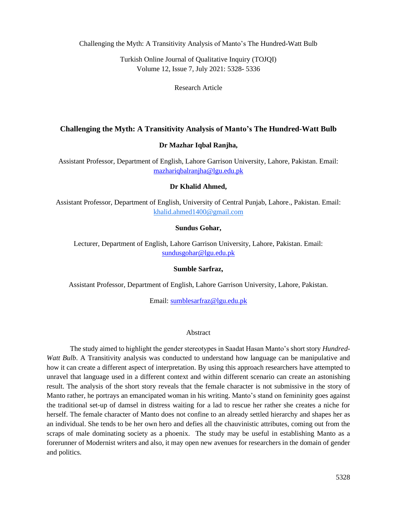Turkish Online Journal of Qualitative Inquiry (TOJQI) Volume 12, Issue 7, July 2021: 5328- 5336

Research Article

## **Challenging the Myth: A Transitivity Analysis of Manto's The Hundred-Watt Bulb**

## **Dr Mazhar Iqbal Ranjha,**

Assistant Professor, Department of English, Lahore Garrison University, Lahore, Pakistan. Email: [mazhariqbalranjha@lgu.edu.pk](mailto:mazhariqbalranjha@lgu.edu.pk)

## **Dr Khalid Ahmed,**

Assistant Professor, Department of English, University of Central Punjab, Lahore., Pakistan. Email: [khalid.ahmed1400@gmail.com](mailto:khalid.ahmed1400@gmail.com)

# **Sundus Gohar,**

Lecturer, Department of English, Lahore Garrison University, Lahore, Pakistan. Email: [sundusgohar@lgu.edu.pk](mailto:sundusgohar@lgu.edu.pk)

### **Sumble Sarfraz,**

Assistant Professor, Department of English, Lahore Garrison University, Lahore, Pakistan.

Email: [sumblesarfraz@lgu.edu.pk](mailto:sumblesarfraz@lgu.edu.pk)

## Abstract

The study aimed to highlight the gender stereotypes in Saadat Hasan Manto's short story *Hundred-Watt Bulb.* A Transitivity analysis was conducted to understand how language can be manipulative and how it can create a different aspect of interpretation. By using this approach researchers have attempted to unravel that language used in a different context and within different scenario can create an astonishing result. The analysis of the short story reveals that the female character is not submissive in the story of Manto rather, he portrays an emancipated woman in his writing. Manto's stand on femininity goes against the traditional set-up of damsel in distress waiting for a lad to rescue her rather she creates a niche for herself. The female character of Manto does not confine to an already settled hierarchy and shapes her as an individual. She tends to be her own hero and defies all the chauvinistic attributes, coming out from the scraps of male dominating society as a phoenix. The study may be useful in establishing Manto as a forerunner of Modernist writers and also, it may open new avenues for researchers in the domain of gender and politics.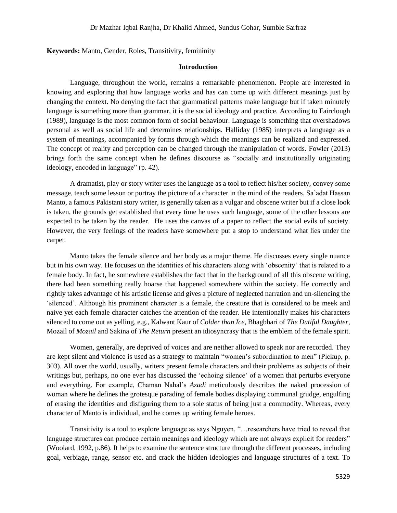**Keywords:** Manto, Gender, Roles, Transitivity, femininity

### **Introduction**

Language, throughout the world, remains a remarkable phenomenon. People are interested in knowing and exploring that how language works and has can come up with different meanings just by changing the context. No denying the fact that grammatical patterns make language but if taken minutely language is something more than grammar, it is the social ideology and practice. According to Fairclough (1989), language is the most common form of social behaviour. Language is something that overshadows personal as well as social life and determines relationships. Halliday (1985) interprets a language as a system of meanings, accompanied by forms through which the meanings can be realized and expressed. The concept of reality and perception can be changed through the manipulation of words. Fowler (2013) brings forth the same concept when he defines discourse as "socially and institutionally originating ideology, encoded in language" (p. 42).

A dramatist, play or story writer uses the language as a tool to reflect his/her society, convey some message, teach some lesson or portray the picture of a character in the mind of the readers. Sa'adat Hassan Manto, a famous Pakistani story writer, is generally taken as a vulgar and obscene writer but if a close look is taken, the grounds get established that every time he uses such language, some of the other lessons are expected to be taken by the reader. He uses the canvas of a paper to reflect the social evils of society. However, the very feelings of the readers have somewhere put a stop to understand what lies under the carpet.

Manto takes the female silence and her body as a major theme. He discusses every single nuance but in his own way. He focuses on the identities of his characters along with 'obscenity' that is related to a female body. In fact, he somewhere establishes the fact that in the background of all this obscene writing, there had been something really hoarse that happened somewhere within the society. He correctly and rightly takes advantage of his artistic license and gives a picture of neglected narration and un-silencing the 'silenced'. Although his prominent character is a female, the creature that is considered to be meek and naive yet each female character catches the attention of the reader. He intentionally makes his characters silenced to come out as yelling, e.g., Kalwant Kaur of *Colder than Ice*, Bhagbhari of *The Dutiful Daughter*, Mozail of *Mozail* and Sakina of *The Return* present an idiosyncrasy that is the emblem of the female spirit.

Women, generally, are deprived of voices and are neither allowed to speak nor are recorded. They are kept silent and violence is used as a strategy to maintain "women's subordination to men" (Pickup, p. 303). All over the world, usually, writers present female characters and their problems as subjects of their writings but, perhaps, no one ever has discussed the 'echoing silence' of a women that perturbs everyone and everything. For example, Chaman Nahal's *Azadi* meticulously describes the naked procession of woman where he defines the grotesque parading of female bodies displaying communal grudge, engulfing of erasing the identities and disfiguring them to a sole status of being just a commodity. Whereas, every character of Manto is individual, and he comes up writing female heroes.

Transitivity is a tool to explore language as says Nguyen, "…researchers have tried to reveal that language structures can produce certain meanings and ideology which are not always explicit for readers" (Woolard, 1992, p.86). It helps to examine the sentence structure through the different processes, including goal, verbiage, range, sensor etc. and crack the hidden ideologies and language structures of a text. To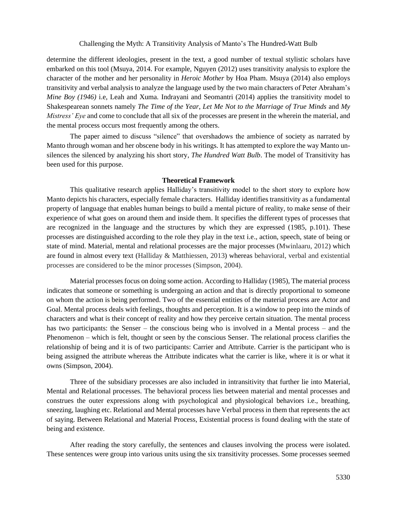determine the different ideologies, present in the text, a good number of textual stylistic scholars have embarked on this tool (Msuya, 2014. For example, Nguyen (2012) uses transitivity analysis to explore the character of the mother and her personality in *Heroic Mother* by Hoa Pham. Msuya (2014) also employs transitivity and verbal analysis to analyze the language used by the two main characters of Peter Abraham's *Mine Boy (1946)* i.e, Leah and Xuma. Indrayani and Seomantri (2014) applies the transitivity model to Shakespearean sonnets namely *The Time of the Year*, *Let Me Not to the Marriage of True Minds* and *My Mistress' Eye* and come to conclude that all six of the processes are present in the wherein the material, and the mental process occurs most frequently among the others.

The paper aimed to discuss "silence" that overshadows the ambience of society as narrated by Manto through woman and her obscene body in his writings. It has attempted to explore the way Manto unsilences the silenced by analyzing his short story, *The Hundred Watt Bulb*. The model of Transitivity has been used for this purpose.

### **Theoretical Framework**

This qualitative research applies Halliday's transitivity model to the short story to explore how Manto depicts his characters, especially female characters. Halliday identifies transitivity as a fundamental property of language that enables human beings to build a mental picture of reality, to make sense of their experience of what goes on around them and inside them. It specifies the different types of processes that are recognized in the language and the structures by which they are expressed (1985, p.101). These processes are distinguished according to the role they play in the text i.e., action, speech, state of being or state of mind. Material, mental and relational processes are the major processes (Mwinlaaru, 2012) which are found in almost every text (Halliday & Matthiessen, 2013) whereas behavioral, verbal and existential processes are considered to be the minor processes (Simpson, 2004).

Material processes focus on doing some action. According to Halliday (1985), The material process indicates that someone or something is undergoing an action and that is directly proportional to someone on whom the action is being performed. Two of the essential entities of the material process are Actor and Goal. Mental process deals with feelings, thoughts and perception. It is a window to peep into the minds of characters and what is their concept of reality and how they perceive certain situation. The mental process has two participants: the Senser – the conscious being who is involved in a Mental process – and the Phenomenon – which is felt, thought or seen by the conscious Senser. The relational process clarifies the relationship of being and it is of two participants: Carrier and Attribute. Carrier is the participant who is being assigned the attribute whereas the Attribute indicates what the carrier is like, where it is or what it owns (Simpson, 2004).

Three of the subsidiary processes are also included in intransitivity that further lie into Material, Mental and Relational processes. The behavioral process lies between material and mental processes and construes the outer expressions along with psychological and physiological behaviors i.e., breathing, sneezing, laughing etc. Relational and Mental processes have Verbal process in them that represents the act of saying. Between Relational and Material Process, Existential process is found dealing with the state of being and existence.

After reading the story carefully, the sentences and clauses involving the process were isolated. These sentences were group into various units using the six transitivity processes. Some processes seemed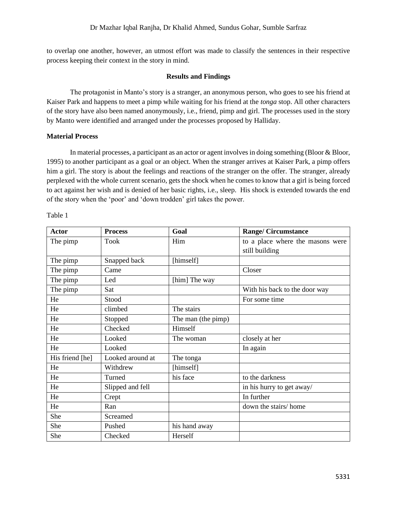to overlap one another, however, an utmost effort was made to classify the sentences in their respective process keeping their context in the story in mind.

# **Results and Findings**

The protagonist in Manto's story is a stranger, an anonymous person, who goes to see his friend at Kaiser Park and happens to meet a pimp while waiting for his friend at the *tonga* stop. All other characters of the story have also been named anonymously, i.e., friend, pimp and girl. The processes used in the story by Manto were identified and arranged under the processes proposed by Halliday.

# **Material Process**

In material processes, a participant as an actor or agent involves in doing something (Bloor & Bloor, 1995) to another participant as a goal or an object. When the stranger arrives at Kaiser Park, a pimp offers him a girl. The story is about the feelings and reactions of the stranger on the offer. The stranger, already perplexed with the whole current scenario, gets the shock when he comes to know that a girl is being forced to act against her wish and is denied of her basic rights, i.e., sleep. His shock is extended towards the end of the story when the 'poor' and 'down trodden' girl takes the power.

| <b>Actor</b>    | <b>Process</b>   | Goal               | <b>Range/Circumstance</b>        |
|-----------------|------------------|--------------------|----------------------------------|
| The pimp        | <b>Took</b>      | Him                | to a place where the masons were |
|                 |                  |                    | still building                   |
| The pimp        | Snapped back     | [himself]          |                                  |
| The pimp        | Came             |                    | Closer                           |
| The pimp        | Led              | [him] The way      |                                  |
| The pimp        | Sat              |                    | With his back to the door way    |
| He              | Stood            |                    | For some time                    |
| He              | climbed          | The stairs         |                                  |
| He              | Stopped          | The man (the pimp) |                                  |
| He              | Checked          | Himself            |                                  |
| He              | Looked           | The woman          | closely at her                   |
| He              | Looked           |                    | In again                         |
| His friend [he] | Looked around at | The tonga          |                                  |
| He              | Withdrew         | [himself]          |                                  |
| He              | Turned           | his face           | to the darkness                  |
| He              | Slipped and fell |                    | in his hurry to get away/        |
| He              | Crept            |                    | In further                       |
| He              | Ran              |                    | down the stairs/home             |
| She             | Screamed         |                    |                                  |
| She             | Pushed           | his hand away      |                                  |
| She             | Checked          | Herself            |                                  |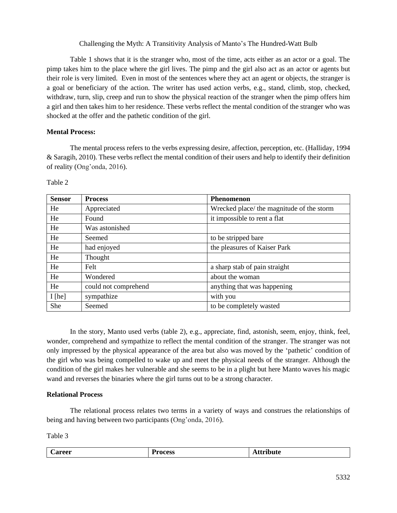Table 1 shows that it is the stranger who, most of the time, acts either as an actor or a goal. The pimp takes him to the place where the girl lives. The pimp and the girl also act as an actor or agents but their role is very limited. Even in most of the sentences where they act an agent or objects, the stranger is a goal or beneficiary of the action. The writer has used action verbs, e.g., stand, climb, stop, checked, withdraw, turn, slip, creep and run to show the physical reaction of the stranger when the pimp offers him a girl and then takes him to her residence. These verbs reflect the mental condition of the stranger who was shocked at the offer and the pathetic condition of the girl.

# **Mental Process:**

The mental process refers to the verbs expressing desire, affection, perception, etc. (Halliday, 1994 & Saragih, 2010). These verbs reflect the mental condition of their users and help to identify their definition of reality (Ong'onda, 2016).

| <b>Sensor</b> | <b>Process</b>       | <b>Phenomenon</b>                         |
|---------------|----------------------|-------------------------------------------|
| He            | Appreciated          | Wrecked place/ the magnitude of the storm |
| He            | Found                | it impossible to rent a flat              |
| He            | Was astonished       |                                           |
| He            | Seemed               | to be stripped bare                       |
| He            | had enjoyed          | the pleasures of Kaiser Park              |
| He            | Thought              |                                           |
| He            | Felt                 | a sharp stab of pain straight             |
| He            | Wondered             | about the woman                           |
| He            | could not comprehend | anything that was happening               |
| I[he]         | sympathize           | with you                                  |
| She           | Seemed               | to be completely wasted                   |

Table 2

In the story, Manto used verbs (table 2), e.g., appreciate, find, astonish, seem, enjoy, think, feel, wonder, comprehend and sympathize to reflect the mental condition of the stranger. The stranger was not only impressed by the physical appearance of the area but also was moved by the 'pathetic' condition of the girl who was being compelled to wake up and meet the physical needs of the stranger. Although the condition of the girl makes her vulnerable and she seems to be in a plight but here Manto waves his magic wand and reverses the binaries where the girl turns out to be a strong character.

# **Relational Process**

The relational process relates two terms in a variety of ways and construes the relationships of being and having between two participants (Ong'onda, 2016).

| -<br><b>Career</b> | ഹസ<br>CO3 | bute |
|--------------------|-----------|------|
| $- - - -$          | .         | .    |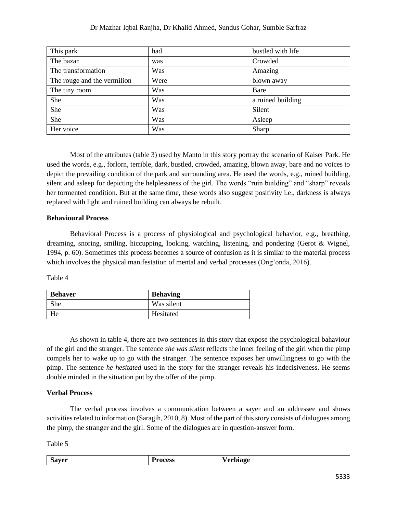# Dr Mazhar Iqbal Ranjha, Dr Khalid Ahmed, Sundus Gohar, Sumble Sarfraz

| This park                   | had  | bustled with life |
|-----------------------------|------|-------------------|
| The bazar                   | was  | Crowded           |
| The transformation          | Was  | Amazing           |
| The rouge and the vermilion | Were | blown away        |
| The tiny room               | Was  | Bare              |
| She                         | Was  | a ruined building |
| She                         | Was  | Silent            |
| She                         | Was  | Asleep            |
| Her voice                   | Was  | Sharp             |

Most of the attributes (table 3) used by Manto in this story portray the scenario of Kaiser Park. He used the words, e.g., forlorn, terrible, dark, bustled, crowded, amazing, blown away, bare and no voices to depict the prevailing condition of the park and surrounding area. He used the words, e.g., ruined building, silent and asleep for depicting the helplessness of the girl. The words "ruin building" and "sharp" reveals her tormented condition. But at the same time, these words also suggest positivity i.e., darkness is always replaced with light and ruined building can always be rebuilt.

# **Behavioural Process**

Behavioral Process is a process of physiological and psychological behavior, e.g., breathing, dreaming, snoring, smiling, hiccupping, looking, watching, listening, and pondering (Gerot & Wignel, 1994, p. 60). Sometimes this process becomes a source of confusion as it is similar to the material process which involves the physical manifestation of mental and verbal processes (Ong'onda, 2016).

| ant |  |
|-----|--|
|-----|--|

| <b>Behaver</b> | <b>Behaving</b> |
|----------------|-----------------|
| She            | Was silent      |
| He i           | Hesitated       |

As shown in table 4, there are two sentences in this story that expose the psychological bahaviour of the girl and the stranger. The sentence *she was silent* reflects the inner feeling of the girl when the pimp compels her to wake up to go with the stranger. The sentence exposes her unwillingness to go with the pimp. The sentence *he hesitated* used in the story for the stranger reveals his indecisiveness. He seems double minded in the situation put by the offer of the pimp.

# **Verbal Process**

The verbal process involves a communication between a sayer and an addressee and shows activities related to information (Saragih, 2010, 8). Most of the part of this story consists of dialogues among the pimp, the stranger and the girl. Some of the dialogues are in question-answer form.

| $\sim$<br>Sover<br>$\sim$ $\sim$ $\sim$<br>$\sim$ 1 UCC <sub>33</sub><br>IJα<br>∼ | $\sim$ $\sim$ $\sim$<br>.9F<br>. |
|-----------------------------------------------------------------------------------|----------------------------------|
|-----------------------------------------------------------------------------------|----------------------------------|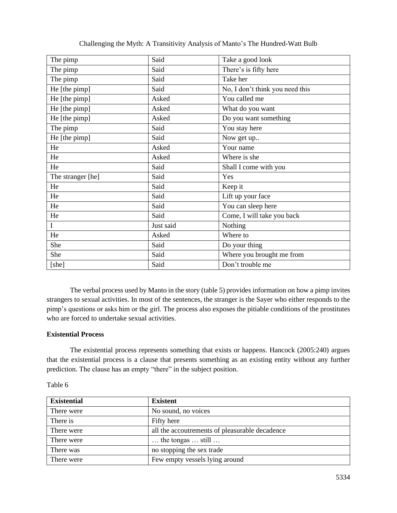| The pimp          | Said      | Take a good look                |
|-------------------|-----------|---------------------------------|
| The pimp          | Said      | There's is fifty here           |
| The pimp          | Said      | Take her                        |
| He [the pimp]     | Said      | No, I don't think you need this |
| He [the pimp]     | Asked     | You called me                   |
| He [the pimp]     | Asked     | What do you want                |
| He [the pimp]     | Asked     | Do you want something           |
| The pimp          | Said      | You stay here                   |
| He [the pimp]     | Said      | Now get up                      |
| He                | Asked     | Your name                       |
| He                | Asked     | Where is she                    |
| He                | Said      | Shall I come with you           |
| The stranger [he] | Said      | Yes                             |
| He                | Said      | Keep it                         |
| He                | Said      | Lift up your face               |
| He                | Said      | You can sleep here              |
| He                | Said      | Come, I will take you back      |
| I                 | Just said | Nothing                         |
| He                | Asked     | Where to                        |
| She               | Said      | Do your thing                   |
| She               | Said      | Where you brought me from       |
| [she]             | Said      | Don't trouble me                |

The verbal process used by Manto in the story (table 5) provides information on how a pimp invites strangers to sexual activities. In most of the sentences, the stranger is the Sayer who either responds to the pimp's questions or asks him or the girl. The process also exposes the pitiable conditions of the prostitutes who are forced to undertake sexual activities.

# **Existential Process**

The existential process represents something that exists or happens. Hancock (2005:240) argues that the existential process is a clause that presents something as an existing entity without any further prediction. The clause has an empty "there" in the subject position.

| <b>Existential</b> | <b>Existent</b>                                |
|--------------------|------------------------------------------------|
| There were         | No sound, no voices                            |
| There is           | Fifty here                                     |
| There were         | all the accoutrements of pleasurable decadence |
| There were         | $\ldots$ the tongas $\ldots$ still $\ldots$    |
| There was          | no stopping the sex trade                      |
| There were         | Few empty vessels lying around                 |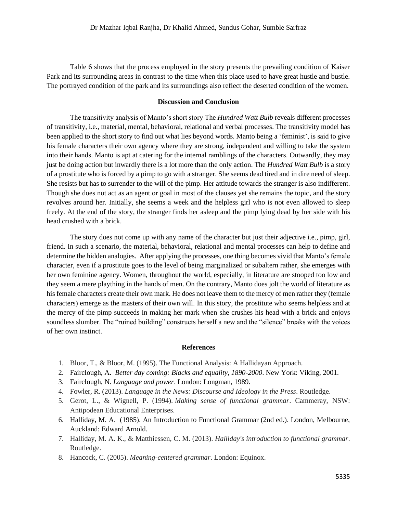Table 6 shows that the process employed in the story presents the prevailing condition of Kaiser Park and its surrounding areas in contrast to the time when this place used to have great hustle and bustle. The portrayed condition of the park and its surroundings also reflect the deserted condition of the women.

## **Discussion and Conclusion**

The transitivity analysis of Manto's short story The *Hundred Watt Bulb* reveals different processes of transitivity, i.e., material, mental, behavioral, relational and verbal processes. The transitivity model has been applied to the short story to find out what lies beyond words. Manto being a 'feminist', is said to give his female characters their own agency where they are strong, independent and willing to take the system into their hands. Manto is apt at catering for the internal ramblings of the characters. Outwardly, they may just be doing action but inwardly there is a lot more than the only action. The *Hundred Watt Bulb* is a story of a prostitute who is forced by a pimp to go with a stranger. She seems dead tired and in dire need of sleep. She resists but has to surrender to the will of the pimp. Her attitude towards the stranger is also indifferent. Though she does not act as an agent or goal in most of the clauses yet she remains the topic, and the story revolves around her. Initially, she seems a week and the helpless girl who is not even allowed to sleep freely. At the end of the story, the stranger finds her asleep and the pimp lying dead by her side with his head crushed with a brick.

The story does not come up with any name of the character but just their adjective i.e., pimp, girl, friend. In such a scenario, the material, behavioral, relational and mental processes can help to define and determine the hidden analogies. After applying the processes, one thing becomes vivid that Manto's female character, even if a prostitute goes to the level of being marginalized or subaltern rather, she emerges with her own feminine agency. Women, throughout the world, especially, in literature are stooped too low and they seem a mere plaything in the hands of men. On the contrary, Manto does jolt the world of literature as his female characters create their own mark. He does not leave them to the mercy of men rather they (female characters) emerge as the masters of their own will. In this story, the prostitute who seems helpless and at the mercy of the pimp succeeds in making her mark when she crushes his head with a brick and enjoys soundless slumber. The "ruined building" constructs herself a new and the "silence" breaks with the voices of her own instinct.

### **References**

- 1. Bloor, T., & Bloor, M. (1995). The Functional Analysis: A Hallidayan Approach.
- 2. Fairclough, A. *Better day coming: Blacks and equality, 1890-2000*. New York: Viking, 2001.
- 3. Fairclough, N. *Language and power*. London: Longman, 1989.
- 4. Fowler, R. (2013). *Language in the News: Discourse and Ideology in the Press*. Routledge.
- 5. Gerot, L., & Wignell, P. (1994). *Making sense of functional grammar*. Cammeray, NSW: Antipodean Educational Enterprises.
- 6. Halliday, M. A. (1985). An Introduction to Functional Grammar (2nd ed.). London, Melbourne, Auckland: Edward Arnold.
- 7. Halliday, M. A. K., & Matthiessen, C. M. (2013). *Halliday's introduction to functional grammar*. Routledge.
- 8. Hancock, C. (2005). *Meaning-centered grammar*. London: Equinox.